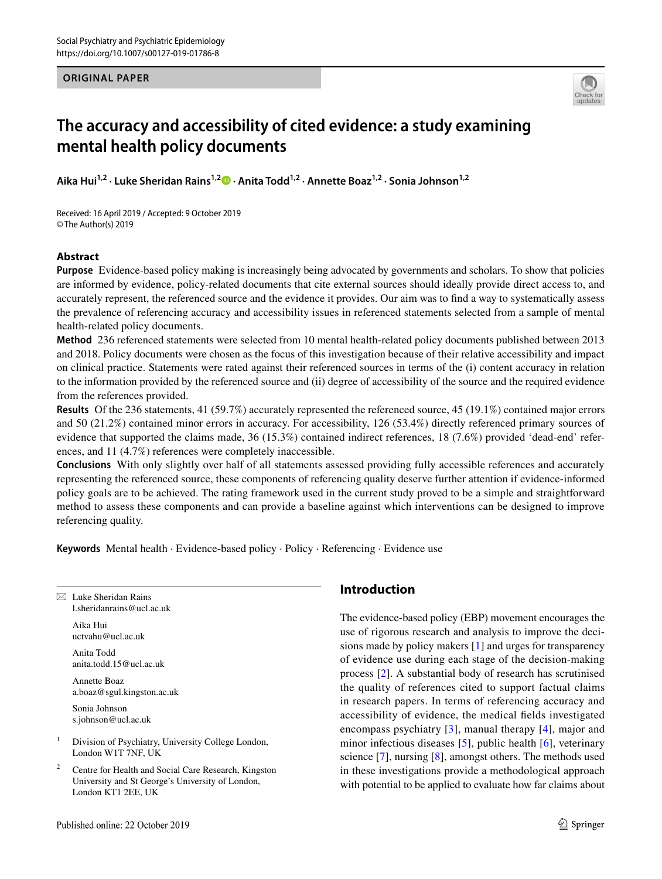### **ORIGINAL PAPER**



# **The accuracy and accessibility of cited evidence: a study examining mental health policy documents**

**Aika Hui1,2 · Luke Sheridan Rains1,2  [·](http://orcid.org/0000-0003-4905-4168) Anita Todd1,2 · Annette Boaz1,2 · Sonia Johnson1,2**

Received: 16 April 2019 / Accepted: 9 October 2019 © The Author(s) 2019

## **Abstract**

**Purpose** Evidence-based policy making is increasingly being advocated by governments and scholars. To show that policies are informed by evidence, policy-related documents that cite external sources should ideally provide direct access to, and accurately represent, the referenced source and the evidence it provides. Our aim was to fnd a way to systematically assess the prevalence of referencing accuracy and accessibility issues in referenced statements selected from a sample of mental health-related policy documents.

**Method** 236 referenced statements were selected from 10 mental health-related policy documents published between 2013 and 2018. Policy documents were chosen as the focus of this investigation because of their relative accessibility and impact on clinical practice. Statements were rated against their referenced sources in terms of the (i) content accuracy in relation to the information provided by the referenced source and (ii) degree of accessibility of the source and the required evidence from the references provided.

**Results** Of the 236 statements, 41 (59.7%) accurately represented the referenced source, 45 (19.1%) contained major errors and 50 (21.2%) contained minor errors in accuracy. For accessibility, 126 (53.4%) directly referenced primary sources of evidence that supported the claims made, 36 (15.3%) contained indirect references, 18 (7.6%) provided 'dead-end' references, and 11 (4.7%) references were completely inaccessible.

**Conclusions** With only slightly over half of all statements assessed providing fully accessible references and accurately representing the referenced source, these components of referencing quality deserve further attention if evidence-informed policy goals are to be achieved. The rating framework used in the current study proved to be a simple and straightforward method to assess these components and can provide a baseline against which interventions can be designed to improve referencing quality.

**Keywords** Mental health · Evidence-based policy · Policy · Referencing · Evidence use

 $\boxtimes$  Luke Sheridan Rains l.sheridanrains@ucl.ac.uk

> Aika Hui uctvahu@ucl.ac.uk

Anita Todd anita.todd.15@ucl.ac.uk

Annette Boaz a.boaz@sgul.kingston.ac.uk

Sonia Johnson s.johnson@ucl.ac.uk

<sup>1</sup> Division of Psychiatry, University College London, London W1T 7NF, UK

Centre for Health and Social Care Research, Kingston University and St George's University of London, London KT1 2EE, UK

## **Introduction**

The evidence-based policy (EBP) movement encourages the use of rigorous research and analysis to improve the decisions made by policy makers [[1\]](#page-10-0) and urges for transparency of evidence use during each stage of the decision-making process [[2\]](#page-10-1). A substantial body of research has scrutinised the quality of references cited to support factual claims in research papers. In terms of referencing accuracy and accessibility of evidence, the medical felds investigated encompass psychiatry [[3\]](#page-10-2), manual therapy [\[4\]](#page-10-3), major and minor infectious diseases [[5\]](#page-10-4), public health [[6](#page-10-5)], veterinary science [[7\]](#page-10-6), nursing [\[8](#page-10-7)], amongst others. The methods used in these investigations provide a methodological approach with potential to be applied to evaluate how far claims about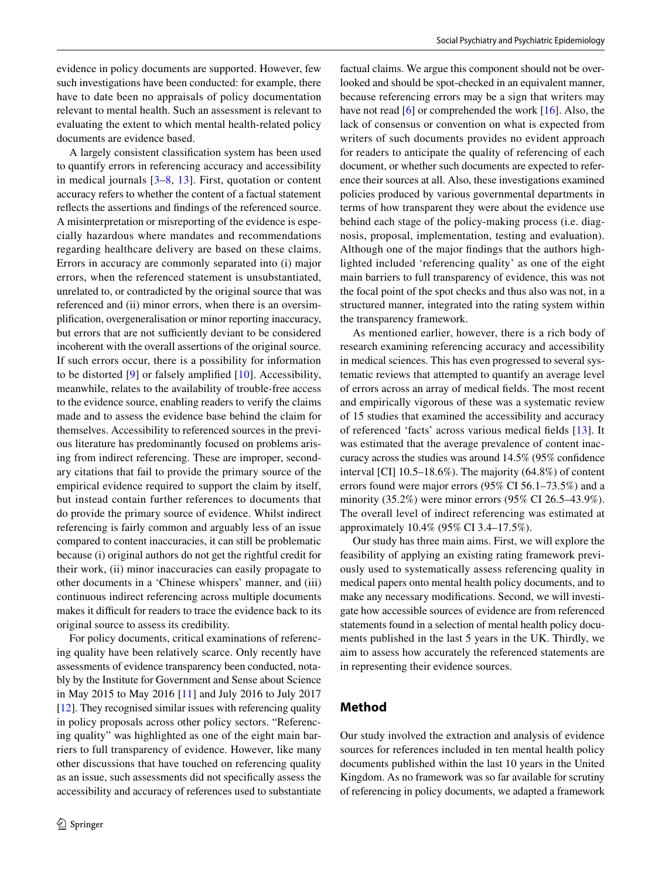evidence in policy documents are supported. However, few such investigations have been conducted: for example, there have to date been no appraisals of policy documentation relevant to mental health. Such an assessment is relevant to evaluating the extent to which mental health-related policy documents are evidence based.

A largely consistent classifcation system has been used to quantify errors in referencing accuracy and accessibility in medical journals [[3–](#page-10-2)[8](#page-10-7), [13](#page-10-8)]. First, quotation or content accuracy refers to whether the content of a factual statement refects the assertions and fndings of the referenced source. A misinterpretation or misreporting of the evidence is especially hazardous where mandates and recommendations regarding healthcare delivery are based on these claims. Errors in accuracy are commonly separated into (i) major errors, when the referenced statement is unsubstantiated, unrelated to, or contradicted by the original source that was referenced and (ii) minor errors, when there is an oversimplifcation, overgeneralisation or minor reporting inaccuracy, but errors that are not sufficiently deviant to be considered incoherent with the overall assertions of the original source. If such errors occur, there is a possibility for information to be distorted [[9\]](#page-10-9) or falsely amplifed [\[10\]](#page-10-10). Accessibility, meanwhile, relates to the availability of trouble-free access to the evidence source, enabling readers to verify the claims made and to assess the evidence base behind the claim for themselves. Accessibility to referenced sources in the previous literature has predominantly focused on problems arising from indirect referencing. These are improper, secondary citations that fail to provide the primary source of the empirical evidence required to support the claim by itself, but instead contain further references to documents that do provide the primary source of evidence. Whilst indirect referencing is fairly common and arguably less of an issue compared to content inaccuracies, it can still be problematic because (i) original authors do not get the rightful credit for their work, (ii) minor inaccuracies can easily propagate to other documents in a 'Chinese whispers' manner, and (iii) continuous indirect referencing across multiple documents makes it difficult for readers to trace the evidence back to its original source to assess its credibility.

For policy documents, critical examinations of referencing quality have been relatively scarce. Only recently have assessments of evidence transparency been conducted, notably by the Institute for Government and Sense about Science in May 2015 to May 2016 [\[11\]](#page-10-11) and July 2016 to July 2017 [\[12](#page-10-12)]. They recognised similar issues with referencing quality in policy proposals across other policy sectors. "Referencing quality" was highlighted as one of the eight main barriers to full transparency of evidence. However, like many other discussions that have touched on referencing quality as an issue, such assessments did not specifcally assess the accessibility and accuracy of references used to substantiate factual claims. We argue this component should not be overlooked and should be spot-checked in an equivalent manner, because referencing errors may be a sign that writers may have not read [\[6](#page-10-5)] or comprehended the work [[16\]](#page-10-13). Also, the lack of consensus or convention on what is expected from writers of such documents provides no evident approach for readers to anticipate the quality of referencing of each document, or whether such documents are expected to reference their sources at all. Also, these investigations examined policies produced by various governmental departments in terms of how transparent they were about the evidence use behind each stage of the policy-making process (i.e. diagnosis, proposal, implementation, testing and evaluation). Although one of the major fndings that the authors highlighted included 'referencing quality' as one of the eight main barriers to full transparency of evidence, this was not the focal point of the spot checks and thus also was not, in a structured manner, integrated into the rating system within the transparency framework.

As mentioned earlier, however, there is a rich body of research examining referencing accuracy and accessibility in medical sciences. This has even progressed to several systematic reviews that attempted to quantify an average level of errors across an array of medical felds. The most recent and empirically vigorous of these was a systematic review of 15 studies that examined the accessibility and accuracy of referenced 'facts' across various medical felds [[13\]](#page-10-8). It was estimated that the average prevalence of content inaccuracy across the studies was around 14.5% (95% confdence interval [CI] 10.5–18.6%). The majority (64.8%) of content errors found were major errors (95% CI 56.1–73.5%) and a minority (35.2%) were minor errors (95% CI 26.5–43.9%). The overall level of indirect referencing was estimated at approximately 10.4% (95% CI 3.4–17.5%).

Our study has three main aims. First, we will explore the feasibility of applying an existing rating framework previously used to systematically assess referencing quality in medical papers onto mental health policy documents, and to make any necessary modifcations. Second, we will investigate how accessible sources of evidence are from referenced statements found in a selection of mental health policy documents published in the last 5 years in the UK. Thirdly, we aim to assess how accurately the referenced statements are in representing their evidence sources.

## **Method**

Our study involved the extraction and analysis of evidence sources for references included in ten mental health policy documents published within the last 10 years in the United Kingdom. As no framework was so far available for scrutiny of referencing in policy documents, we adapted a framework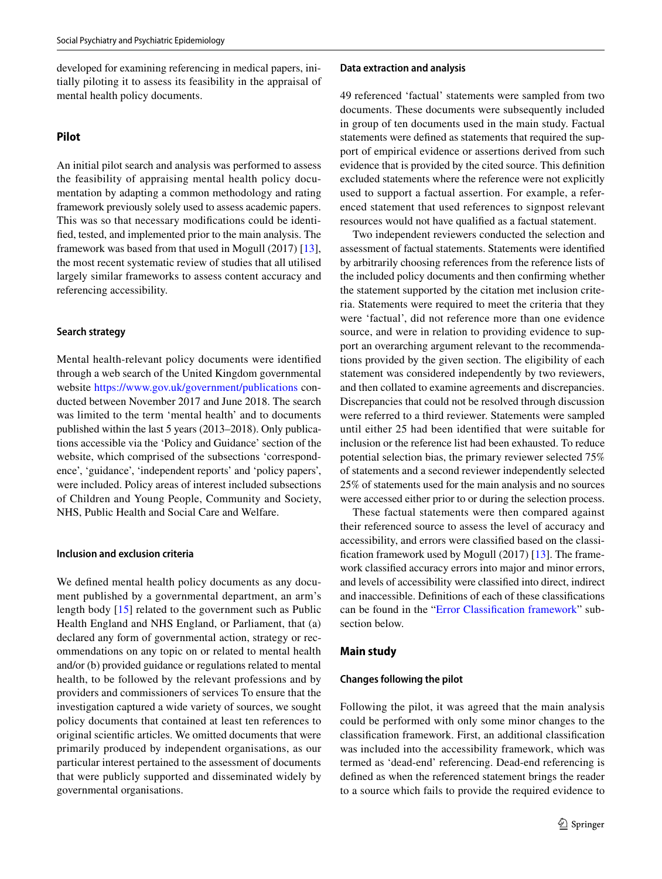developed for examining referencing in medical papers, initially piloting it to assess its feasibility in the appraisal of mental health policy documents.

## **Pilot**

An initial pilot search and analysis was performed to assess the feasibility of appraising mental health policy documentation by adapting a common methodology and rating framework previously solely used to assess academic papers. This was so that necessary modifcations could be identifed, tested, and implemented prior to the main analysis. The framework was based from that used in Mogull (2017) [\[13](#page-10-8)], the most recent systematic review of studies that all utilised largely similar frameworks to assess content accuracy and referencing accessibility.

#### **Search strategy**

Mental health-relevant policy documents were identifed through a web search of the United Kingdom governmental website <https://www.gov.uk/government/publications> conducted between November 2017 and June 2018. The search was limited to the term 'mental health' and to documents published within the last 5 years (2013–2018). Only publications accessible via the 'Policy and Guidance' section of the website, which comprised of the subsections 'correspondence', 'guidance', 'independent reports' and 'policy papers', were included. Policy areas of interest included subsections of Children and Young People, Community and Society, NHS, Public Health and Social Care and Welfare.

#### **Inclusion and exclusion criteria**

We defned mental health policy documents as any document published by a governmental department, an arm's length body [[15](#page-10-14)] related to the government such as Public Health England and NHS England, or Parliament, that (a) declared any form of governmental action, strategy or recommendations on any topic on or related to mental health and/or (b) provided guidance or regulations related to mental health, to be followed by the relevant professions and by providers and commissioners of services To ensure that the investigation captured a wide variety of sources, we sought policy documents that contained at least ten references to original scientifc articles. We omitted documents that were primarily produced by independent organisations, as our particular interest pertained to the assessment of documents that were publicly supported and disseminated widely by governmental organisations.

#### **Data extraction and analysis**

49 referenced 'factual' statements were sampled from two documents. These documents were subsequently included in group of ten documents used in the main study. Factual statements were defned as statements that required the support of empirical evidence or assertions derived from such evidence that is provided by the cited source. This defnition excluded statements where the reference were not explicitly used to support a factual assertion. For example, a referenced statement that used references to signpost relevant resources would not have qualifed as a factual statement.

Two independent reviewers conducted the selection and assessment of factual statements. Statements were identifed by arbitrarily choosing references from the reference lists of the included policy documents and then confrming whether the statement supported by the citation met inclusion criteria. Statements were required to meet the criteria that they were 'factual', did not reference more than one evidence source, and were in relation to providing evidence to support an overarching argument relevant to the recommendations provided by the given section. The eligibility of each statement was considered independently by two reviewers, and then collated to examine agreements and discrepancies. Discrepancies that could not be resolved through discussion were referred to a third reviewer. Statements were sampled until either 25 had been identifed that were suitable for inclusion or the reference list had been exhausted. To reduce potential selection bias, the primary reviewer selected 75% of statements and a second reviewer independently selected 25% of statements used for the main analysis and no sources were accessed either prior to or during the selection process.

These factual statements were then compared against their referenced source to assess the level of accuracy and accessibility, and errors were classifed based on the classifcation framework used by Mogull (2017) [\[13](#page-10-8)]. The framework classifed accuracy errors into major and minor errors, and levels of accessibility were classifed into direct, indirect and inaccessible. Defnitions of each of these classifcations can be found in the ["Error Classifcation framework](#page-3-0)" subsection below.

#### **Main study**

#### **Changes following the pilot**

Following the pilot, it was agreed that the main analysis could be performed with only some minor changes to the classifcation framework. First, an additional classifcation was included into the accessibility framework, which was termed as 'dead-end' referencing. Dead-end referencing is defned as when the referenced statement brings the reader to a source which fails to provide the required evidence to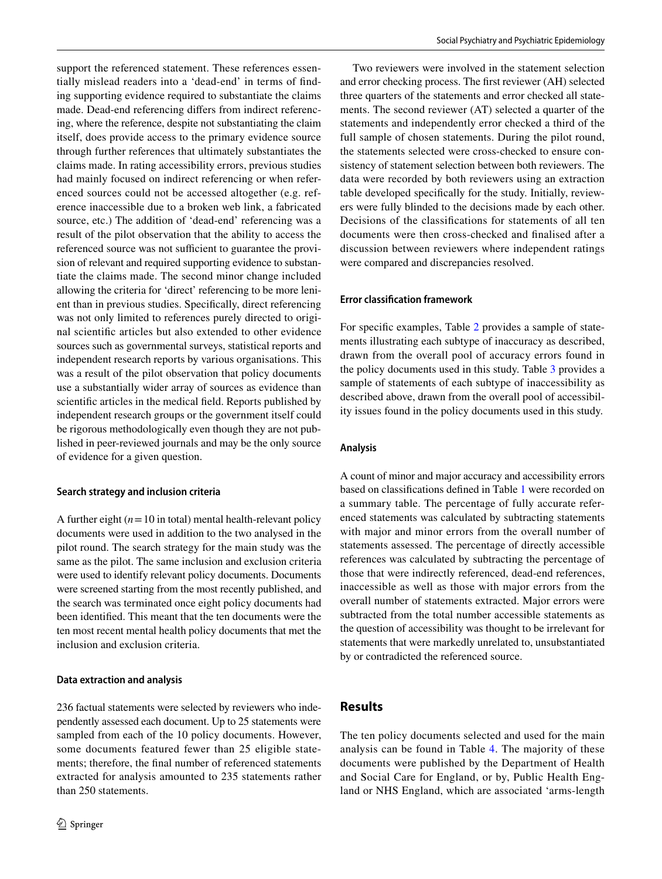support the referenced statement. These references essentially mislead readers into a 'dead-end' in terms of fnding supporting evidence required to substantiate the claims made. Dead-end referencing difers from indirect referencing, where the reference, despite not substantiating the claim itself, does provide access to the primary evidence source through further references that ultimately substantiates the claims made. In rating accessibility errors, previous studies had mainly focused on indirect referencing or when referenced sources could not be accessed altogether (e.g. reference inaccessible due to a broken web link, a fabricated source, etc.) The addition of 'dead-end' referencing was a result of the pilot observation that the ability to access the referenced source was not sufficient to guarantee the provision of relevant and required supporting evidence to substantiate the claims made. The second minor change included allowing the criteria for 'direct' referencing to be more lenient than in previous studies. Specifcally, direct referencing was not only limited to references purely directed to original scientifc articles but also extended to other evidence sources such as governmental surveys, statistical reports and independent research reports by various organisations. This was a result of the pilot observation that policy documents use a substantially wider array of sources as evidence than scientifc articles in the medical feld. Reports published by independent research groups or the government itself could be rigorous methodologically even though they are not published in peer-reviewed journals and may be the only source of evidence for a given question.

#### **Search strategy and inclusion criteria**

A further eight  $(n=10$  in total) mental health-relevant policy documents were used in addition to the two analysed in the pilot round. The search strategy for the main study was the same as the pilot. The same inclusion and exclusion criteria were used to identify relevant policy documents. Documents were screened starting from the most recently published, and the search was terminated once eight policy documents had been identifed. This meant that the ten documents were the ten most recent mental health policy documents that met the inclusion and exclusion criteria.

#### **Data extraction and analysis**

Two reviewers were involved in the statement selection and error checking process. The frst reviewer (AH) selected three quarters of the statements and error checked all statements. The second reviewer (AT) selected a quarter of the statements and independently error checked a third of the full sample of chosen statements. During the pilot round, the statements selected were cross-checked to ensure consistency of statement selection between both reviewers. The data were recorded by both reviewers using an extraction table developed specifcally for the study. Initially, reviewers were fully blinded to the decisions made by each other. Decisions of the classifcations for statements of all ten documents were then cross-checked and fnalised after a discussion between reviewers where independent ratings were compared and discrepancies resolved.

#### <span id="page-3-0"></span>**Error classifcation framework**

For specifc examples, Table [2](#page-5-0) provides a sample of statements illustrating each subtype of inaccuracy as described, drawn from the overall pool of accuracy errors found in the policy documents used in this study. Table [3](#page-6-0) provides a sample of statements of each subtype of inaccessibility as described above, drawn from the overall pool of accessibility issues found in the policy documents used in this study.

#### **Analysis**

A count of minor and major accuracy and accessibility errors based on classifcations defned in Table [1](#page-4-0) were recorded on a summary table. The percentage of fully accurate referenced statements was calculated by subtracting statements with major and minor errors from the overall number of statements assessed. The percentage of directly accessible references was calculated by subtracting the percentage of those that were indirectly referenced, dead-end references, inaccessible as well as those with major errors from the overall number of statements extracted. Major errors were subtracted from the total number accessible statements as the question of accessibility was thought to be irrelevant for statements that were markedly unrelated to, unsubstantiated by or contradicted the referenced source.

## **Results**

The ten policy documents selected and used for the main analysis can be found in Table [4.](#page-7-0) The majority of these documents were published by the Department of Health and Social Care for England, or by, Public Health England or NHS England, which are associated 'arms-length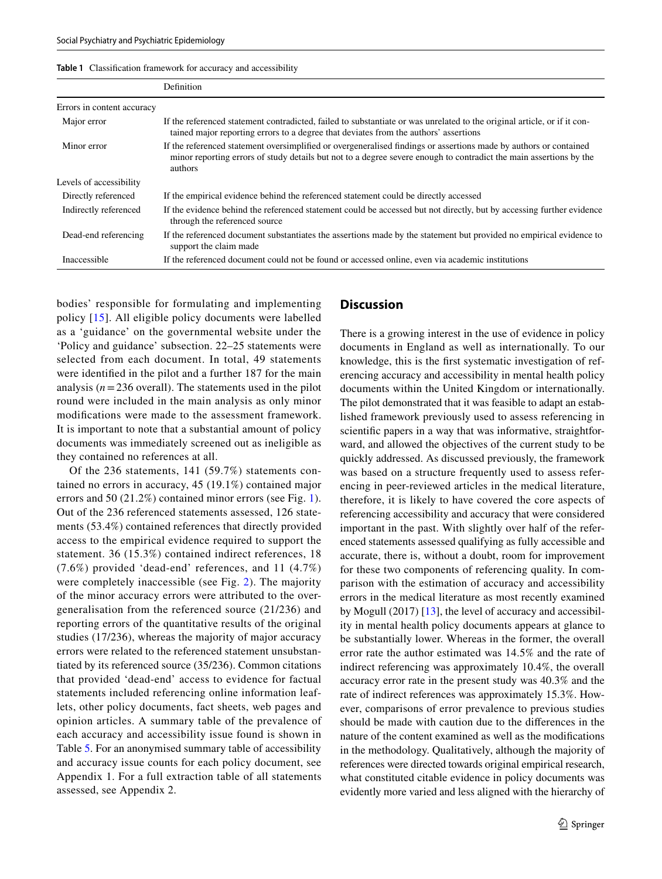<span id="page-4-0"></span>

| Table 1 Classification framework for accuracy and accessibility |  |
|-----------------------------------------------------------------|--|
|-----------------------------------------------------------------|--|

|                            | Definition                                                                                                                                                                                                                                         |
|----------------------------|----------------------------------------------------------------------------------------------------------------------------------------------------------------------------------------------------------------------------------------------------|
| Errors in content accuracy |                                                                                                                                                                                                                                                    |
| Major error                | If the referenced statement contradicted, failed to substantiate or was unrelated to the original article, or if it con-<br>tained major reporting errors to a degree that deviates from the authors' assertions                                   |
| Minor error                | If the referenced statement oversimplified or overgeneralised findings or assertions made by authors or contained<br>minor reporting errors of study details but not to a degree severe enough to contradict the main assertions by the<br>authors |
| Levels of accessibility    |                                                                                                                                                                                                                                                    |
| Directly referenced        | If the empirical evidence behind the referenced statement could be directly accessed                                                                                                                                                               |
| Indirectly referenced      | If the evidence behind the referenced statement could be accessed but not directly, but by accessing further evidence<br>through the referenced source                                                                                             |
| Dead-end referencing       | If the referenced document substantiates the assertions made by the statement but provided no empirical evidence to<br>support the claim made                                                                                                      |
| Inaccessible               | If the referenced document could not be found or accessed online, even via academic institutions                                                                                                                                                   |

bodies' responsible for formulating and implementing policy [[15](#page-10-14)]. All eligible policy documents were labelled as a 'guidance' on the governmental website under the 'Policy and guidance' subsection. 22–25 statements were selected from each document. In total, 49 statements were identifed in the pilot and a further 187 for the main analysis  $(n=236$  overall). The statements used in the pilot round were included in the main analysis as only minor modifcations were made to the assessment framework. It is important to note that a substantial amount of policy documents was immediately screened out as ineligible as they contained no references at all.

Of the 236 statements, 141 (59.7%) statements contained no errors in accuracy, 45 (19.1%) contained major errors and 50 (21.2%) contained minor errors (see Fig. [1](#page-8-0)). Out of the 236 referenced statements assessed, 126 statements (53.4%) contained references that directly provided access to the empirical evidence required to support the statement. 36 (15.3%) contained indirect references, 18 (7.6%) provided 'dead-end' references, and 11 (4.7%) were completely inaccessible (see Fig. [2](#page-8-1)). The majority of the minor accuracy errors were attributed to the overgeneralisation from the referenced source (21/236) and reporting errors of the quantitative results of the original studies (17/236), whereas the majority of major accuracy errors were related to the referenced statement unsubstantiated by its referenced source (35/236). Common citations that provided 'dead-end' access to evidence for factual statements included referencing online information leaflets, other policy documents, fact sheets, web pages and opinion articles. A summary table of the prevalence of each accuracy and accessibility issue found is shown in Table [5](#page-8-2). For an anonymised summary table of accessibility and accuracy issue counts for each policy document, see Appendix 1. For a full extraction table of all statements assessed, see Appendix 2.

## **Discussion**

There is a growing interest in the use of evidence in policy documents in England as well as internationally. To our knowledge, this is the frst systematic investigation of referencing accuracy and accessibility in mental health policy documents within the United Kingdom or internationally. The pilot demonstrated that it was feasible to adapt an established framework previously used to assess referencing in scientifc papers in a way that was informative, straightforward, and allowed the objectives of the current study to be quickly addressed. As discussed previously, the framework was based on a structure frequently used to assess referencing in peer-reviewed articles in the medical literature, therefore, it is likely to have covered the core aspects of referencing accessibility and accuracy that were considered important in the past. With slightly over half of the referenced statements assessed qualifying as fully accessible and accurate, there is, without a doubt, room for improvement for these two components of referencing quality. In comparison with the estimation of accuracy and accessibility errors in the medical literature as most recently examined by Mogull (2017) [\[13](#page-10-8)], the level of accuracy and accessibility in mental health policy documents appears at glance to be substantially lower. Whereas in the former, the overall error rate the author estimated was 14.5% and the rate of indirect referencing was approximately 10.4%, the overall accuracy error rate in the present study was 40.3% and the rate of indirect references was approximately 15.3%. However, comparisons of error prevalence to previous studies should be made with caution due to the diferences in the nature of the content examined as well as the modifcations in the methodology. Qualitatively, although the majority of references were directed towards original empirical research, what constituted citable evidence in policy documents was evidently more varied and less aligned with the hierarchy of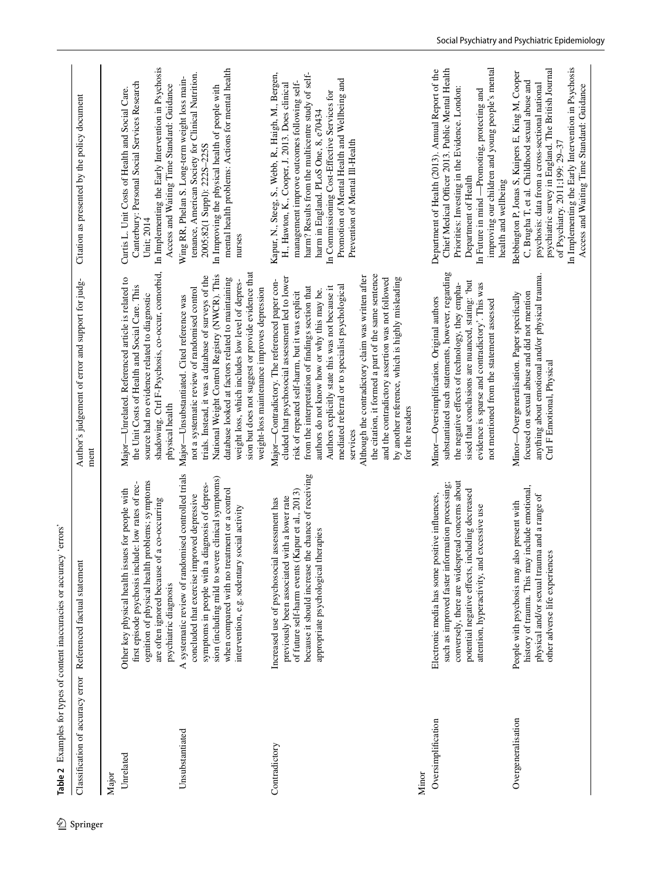<span id="page-5-0"></span>

| Classification of accuracy error | Referenced factual statement                                                                                                                                                                                                                                                                                 | Author's judgement of error and support for judg-<br>ment                                                                                                                                                                                                                                                                                                                                                                                                                                                                                                                                                            | Citation as presented by the policy document                                                                                                                                                                                                                                                                                                                                        |
|----------------------------------|--------------------------------------------------------------------------------------------------------------------------------------------------------------------------------------------------------------------------------------------------------------------------------------------------------------|----------------------------------------------------------------------------------------------------------------------------------------------------------------------------------------------------------------------------------------------------------------------------------------------------------------------------------------------------------------------------------------------------------------------------------------------------------------------------------------------------------------------------------------------------------------------------------------------------------------------|-------------------------------------------------------------------------------------------------------------------------------------------------------------------------------------------------------------------------------------------------------------------------------------------------------------------------------------------------------------------------------------|
| Unrelated<br>Major               | ognition of physical health problems; symptoms<br>first episode psychosis include: low rates of rec-<br>Other key physical health issues for people with<br>are often ignored because of a co-occurring<br>psychiatric diagnosis                                                                             | shadowing. Ctrl F-Psychosis, co-occur, comorbid,<br>Major-Unrelated. Referenced article is related to<br>the Unit Costs of Health and Social Care. This<br>source had no evidence related to diagnostic<br>physical health                                                                                                                                                                                                                                                                                                                                                                                           | In Implementing the Early Intervention in Psychosis<br>Canterbury: Personal Social Services Research<br>Access and Waiting Time Standard: Guidance<br>Curtis L. Unit Costs of Health and Social Care.<br>Unit; 2014                                                                                                                                                                 |
| Unsubstantiated                  | A systematic review of randomised controlled trials<br>sion (including mild to severe clinical symptoms)<br>symptoms in people with a diagnosis of depres-<br>when compared with no treatment or a control<br>concluded that exercise improved depressive<br>social activity<br>intervention, e.g. sedentary | sion but does not suggest or provide evidence that<br>National Weight Control Registry (NWCR). This<br>trials. Instead, it was a database of surveys of the<br>database looked at factors related to maintaining<br>weight loss, which includes low level of depres-<br>not a systematic review of randomised control<br>weight-loss maintenance improves depression<br>Major-Unsubstantiated. Cited reference was                                                                                                                                                                                                   | mental health problems: Actions for mental health<br>tenance, American Society for Clinical Nutrition.<br>Wing RR, Phelan S. Long-term weight loss main-<br>In Improving the physical health of people with<br>2005;82(1 Suppl): 222S-225S<br>nurses                                                                                                                                |
| Contradictory<br>Minor           | because it should increase the chance of receiving<br>of future self-harm events (Kapur et al., 2013)<br>previously been associated with a lower rate<br>assessment has<br>appropriate psychological therapies<br>Increased use of psychosocial                                                              | the citation, it formed a part of the same sentence<br>Although the contradictory claim was written after<br>cluded that psychosocial assessment led to lower<br>by another reference, which is highly misleading<br>and the contradictory assertion was not followed<br>Major-Contradictory. The referenced paper con-<br>mediated referral or to specialist psychological<br>Authors explicitly state this was not because it<br>from the interpretation of findings section that<br>authors do not know how or why this may be.<br>risk of repeated self-harm, but it was explicit<br>for the readers<br>services | Kapur, N., Steeg, S., Webb, R., Haigh, M., Bergen,<br>harm? Results from the multicentre study of self-<br>Promotion of Mental Health and Wellbeing and<br>management improve outcomes following self-<br>H., Hawton, K., Cooper, J. 2013. Does clinical<br>In Commissioning Cost-Effective Services for<br>harm in England. PLoS One, 8, e70434<br>Prevention of Mental III-Health |
| Oversimplification               | conversely, there are widespread concerns about<br>such as improved faster information processing;<br>potential negative effects, including decreased<br>Electronic media has some positive influences,<br>excessive use<br>attention, hyperactivity, and                                                    | substantiated such statements, however, regarding<br>sised that conclusions are nuanced, stating: 'but<br>the negative effects of technology, they empha-<br>evidence is sparse and contradictory'. This was<br>Minor-Oversimplification. Original authors<br>not mentioned from the statement assessed                                                                                                                                                                                                                                                                                                              | improving our children and young people's mental<br>Chief Medical Officer 2013. Public Mental Health<br>Department of Health (2013). Annual Report of the<br>Priorities: Investing in the Evidence. London:<br>In Future in mind -Promoting, protecting and<br>Department of Health<br>health and wellbeing                                                                         |
| Overgeneralisation               | history of trauma. This may include emotional,<br>physical and/or sexual trauma and a range of<br>People with psychosis may also present with<br>other adverse life experiences                                                                                                                              | anything about emotional and/or physical trauma.<br>focused on sexual abuse and did not mention<br>Minor-Overgeneralisation. Paper specifically<br>Ctrl F Emotional, Physical                                                                                                                                                                                                                                                                                                                                                                                                                                        | In Implementing the Early Intervention in Psychosis<br>psychiatric survey in England. The British Journal<br>Bebbington P, Jonas S, Kuipers E, King M, Cooper<br>C, Brugha T, et al. Childhood sexual abuse and<br>psychosis: data from a cross-sectional national<br>Access and Waiting Time Standard: Guidance<br>of Psychiatry. 2011;199: 29-37                                  |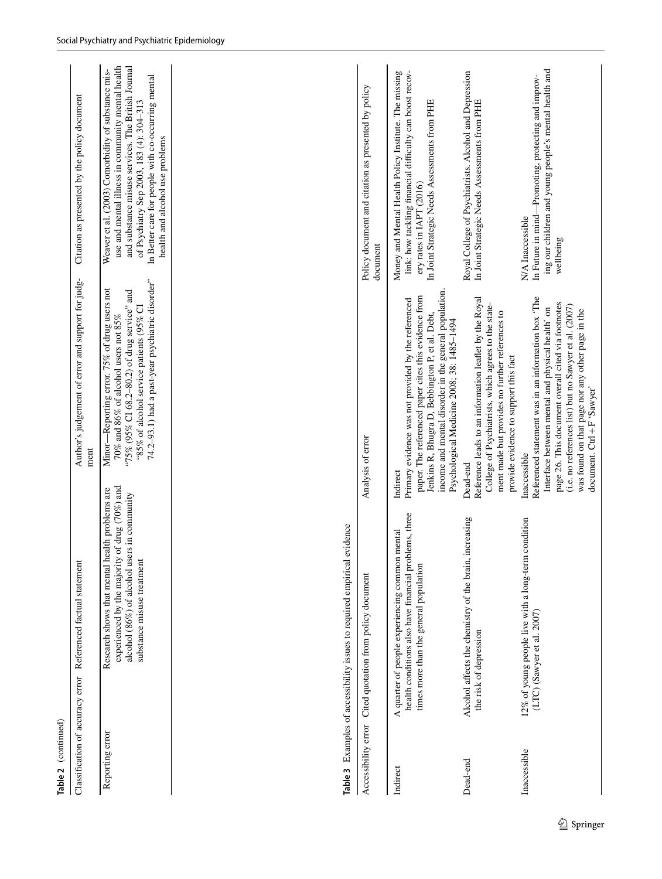<span id="page-6-0"></span>

| Table 2 (continued)              |                                                                                                                                                                                    |                                                                                                                                                                                                                                      |                                                                                                                                                                                                                                                                                                    |
|----------------------------------|------------------------------------------------------------------------------------------------------------------------------------------------------------------------------------|--------------------------------------------------------------------------------------------------------------------------------------------------------------------------------------------------------------------------------------|----------------------------------------------------------------------------------------------------------------------------------------------------------------------------------------------------------------------------------------------------------------------------------------------------|
| Classification of accuracy error | Referenced factual statement                                                                                                                                                       | Author's judgement of error and support for judg-<br>ment                                                                                                                                                                            | Citation as presented by the policy document                                                                                                                                                                                                                                                       |
| Reporting error                  | of drug $(70\%)$ and<br>Research shows that mental health problems are<br>alcohol (86%) of alcohol users in community<br>experienced by the majority<br>substance misuse treatment | 74.2-93.1) had a past-year psychiatric disorder"<br>Minor-Reporting error. 75% of drug users not<br>"75% (95% CI 68.2-80.2) of drug service" and<br>"85% of alcohol service patients (95% CI<br>70% and 86% of alcohol users not 85% | and substance misuse services. The British Journal<br>use and mental illness in community mental health<br>Weaver et al. (2003) Comorbidity of substance mis-<br>In Better care for people with co-occurring mental<br>of Psychiatry Sep 2003, 183 (4): 304-313<br>health and alcohol use problems |
| Inaccessible                     | condition<br>12% of young people live with a long-term<br>$(LTC)$ (Sawyer et al. 2007)                                                                                             | Referenced statement was in an information box 'The<br>Interface between mental and physical health' on<br>ment made but provides no further references to<br>provide evidence to support this fact<br>Inaccessible                  | ing our children and young people's mental health and<br>In Future in mind—Promoting, protecting and improv-<br>N/A Inaccessible                                                                                                                                                                   |
|                                  |                                                                                                                                                                                    | page 26. This document overall cited via footnotes<br>(i.e. no references list) but no Sawyer et al. (2007)<br>was found on that page nor any other page in the<br>document. Ctrl + F 'Sawyer'                                       | wellbeing                                                                                                                                                                                                                                                                                          |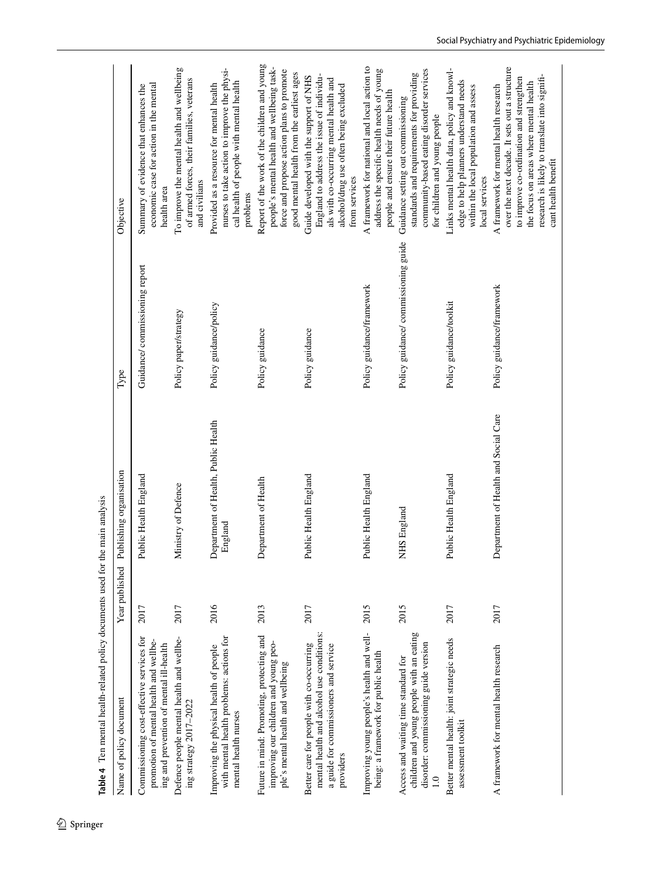<span id="page-7-0"></span>

| Name of policy document                                                                                                                     | Year published | Publishing organisation                        | Type                                 | Objective                                                                                                                                                                                                                                            |
|---------------------------------------------------------------------------------------------------------------------------------------------|----------------|------------------------------------------------|--------------------------------------|------------------------------------------------------------------------------------------------------------------------------------------------------------------------------------------------------------------------------------------------------|
| Commissioning cost-effective services for<br>promotion of mental health and wellbe-<br>ing and prevention of mental ill-health              | 2017           | Public Health England                          | Guidance/ commissioning report       | economic case for action in the mental<br>Summary of evidence that enhances the<br>health area                                                                                                                                                       |
| Defence people mental health and wellbe-<br>ing strategy 2017-2022                                                                          | 2017           | Ministry of Defence                            | Policy paper/strategy                | To improve the mental health and wellbeing<br>of armed forces, their families, veterans<br>and civilians                                                                                                                                             |
| with mental health problems: actions for<br>Improving the physical health of people<br>mental health nurses                                 | 2016           | Department of Health, Public Health<br>England | Policy guidance/policy               | nurses to take action to improve the physi-<br>cal health of people with mental health<br>Provided as a resource for mental health<br>problems                                                                                                       |
| Future in mind: Promoting, protecting and<br>improving our children and young peo-<br>ple's mental health and wellbeing                     | 2013           | Department of Health                           | Policy guidance                      | Report of the work of the children and young<br>people's mental health and wellbeing task-<br>force and propose action plans to promote<br>good mental health from the earliest ages                                                                 |
| mental health and alcohol use conditions:<br>Better care for people with co-occurring<br>a guide for commissioners and service<br>providers | 2017           | Public Health England                          | Policy guidance                      | England to address the issue of individu-<br>Guide developed with the support of NHS<br>als with co-occurring mental health and<br>alcohol/drug use often being excluded<br>from services                                                            |
| Improving young people's health and well-<br>being: a framework for public health                                                           | 2015           | Public Health England                          | Policy guidance/framework            | A framework for national and local action to<br>address the specific health needs of young<br>people and ensure their future health                                                                                                                  |
| children and young people with an eating<br>disorder: commissioning guide version<br>Access and waiting time standard for<br>$\ddot{=}$     | 2015           | NHS England                                    | Policy guidance/ commissioning guide | community-based eating disorder services<br>standards and requirements for providing<br>Guidance setting out commissioning<br>for children and young people                                                                                          |
| Better mental health: joint strategic needs<br>assessment toolkit                                                                           | 2017           | Public Health England                          | Policy guidance/toolkit              | Links mental health data, policy and knowl-<br>edge to help planners understand needs<br>within the local population and assess<br>local services                                                                                                    |
| A framework for mental health research                                                                                                      | 2017           | Department of Health and Social Care           | Policy guidance/framework            | over the next decade. It sets out a structure<br>research is likely to translate into signifi-<br>to improve co-ordination and strengthen<br>the focus on areas where mental health<br>A framework for mental health research<br>cant health benefit |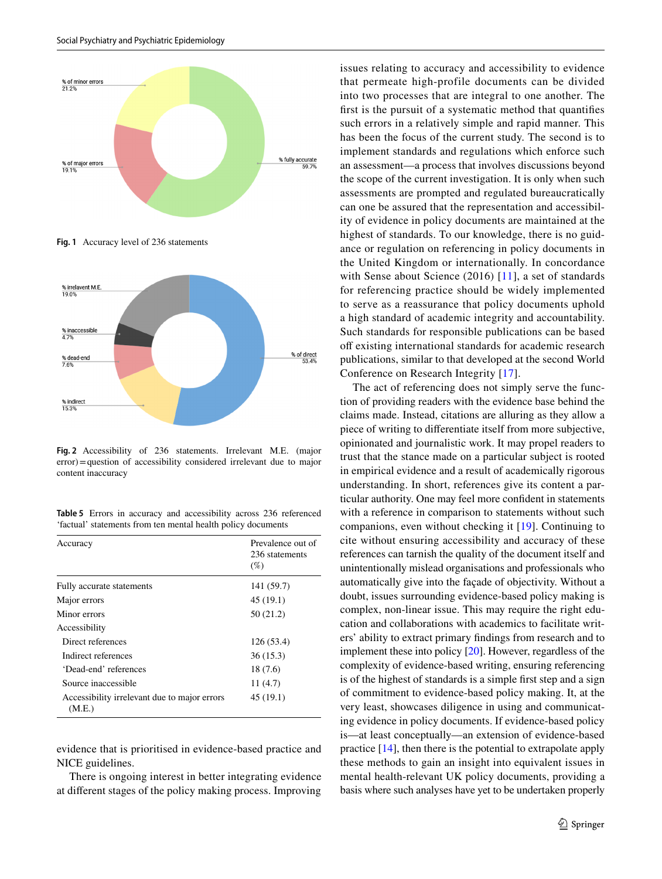

<span id="page-8-0"></span>**Fig. 1** Accuracy level of 236 statements



<span id="page-8-1"></span>**Fig. 2** Accessibility of 236 statements. Irrelevant M.E. (major error)=question of accessibility considered irrelevant due to major content inaccuracy

<span id="page-8-2"></span>**Table 5** Errors in accuracy and accessibility across 236 referenced 'factual' statements from ten mental health policy documents

| Accuracy                                               | Prevalence out of<br>236 statements<br>$(\%)$ |
|--------------------------------------------------------|-----------------------------------------------|
| Fully accurate statements                              | 141 (59.7)                                    |
| Major errors                                           | 45(19.1)                                      |
| Minor errors                                           | 50(21.2)                                      |
| Accessibility                                          |                                               |
| Direct references                                      | 126(53.4)                                     |
| Indirect references                                    | 36(15.3)                                      |
| 'Dead-end' references                                  | 18 (7.6)                                      |
| Source inaccessible                                    | 11(4.7)                                       |
| Accessibility irrelevant due to major errors<br>(M.E.) | 45(19.1)                                      |

evidence that is prioritised in evidence-based practice and NICE guidelines.

There is ongoing interest in better integrating evidence at diferent stages of the policy making process. Improving

issues relating to accuracy and accessibility to evidence that permeate high-profile documents can be divided into two processes that are integral to one another. The frst is the pursuit of a systematic method that quantifes such errors in a relatively simple and rapid manner. This has been the focus of the current study. The second is to implement standards and regulations which enforce such an assessment—a process that involves discussions beyond the scope of the current investigation. It is only when such assessments are prompted and regulated bureaucratically can one be assured that the representation and accessibility of evidence in policy documents are maintained at the highest of standards. To our knowledge, there is no guidance or regulation on referencing in policy documents in the United Kingdom or internationally. In concordance with Sense about Science (2016) [\[11\]](#page-10-11), a set of standards for referencing practice should be widely implemented to serve as a reassurance that policy documents uphold a high standard of academic integrity and accountability. Such standards for responsible publications can be based off existing international standards for academic research publications, similar to that developed at the second World Conference on Research Integrity [\[17\]](#page-10-15).

The act of referencing does not simply serve the function of providing readers with the evidence base behind the claims made. Instead, citations are alluring as they allow a piece of writing to diferentiate itself from more subjective, opinionated and journalistic work. It may propel readers to trust that the stance made on a particular subject is rooted in empirical evidence and a result of academically rigorous understanding. In short, references give its content a particular authority. One may feel more confdent in statements with a reference in comparison to statements without such companions, even without checking it [\[19\]](#page-10-16). Continuing to cite without ensuring accessibility and accuracy of these references can tarnish the quality of the document itself and unintentionally mislead organisations and professionals who automatically give into the façade of objectivity. Without a doubt, issues surrounding evidence-based policy making is complex, non-linear issue. This may require the right education and collaborations with academics to facilitate writers' ability to extract primary fndings from research and to implement these into policy [\[20](#page-10-17)]. However, regardless of the complexity of evidence-based writing, ensuring referencing is of the highest of standards is a simple frst step and a sign of commitment to evidence-based policy making. It, at the very least, showcases diligence in using and communicating evidence in policy documents. If evidence-based policy is—at least conceptually—an extension of evidence-based practice [[14\]](#page-10-18), then there is the potential to extrapolate apply these methods to gain an insight into equivalent issues in mental health-relevant UK policy documents, providing a basis where such analyses have yet to be undertaken properly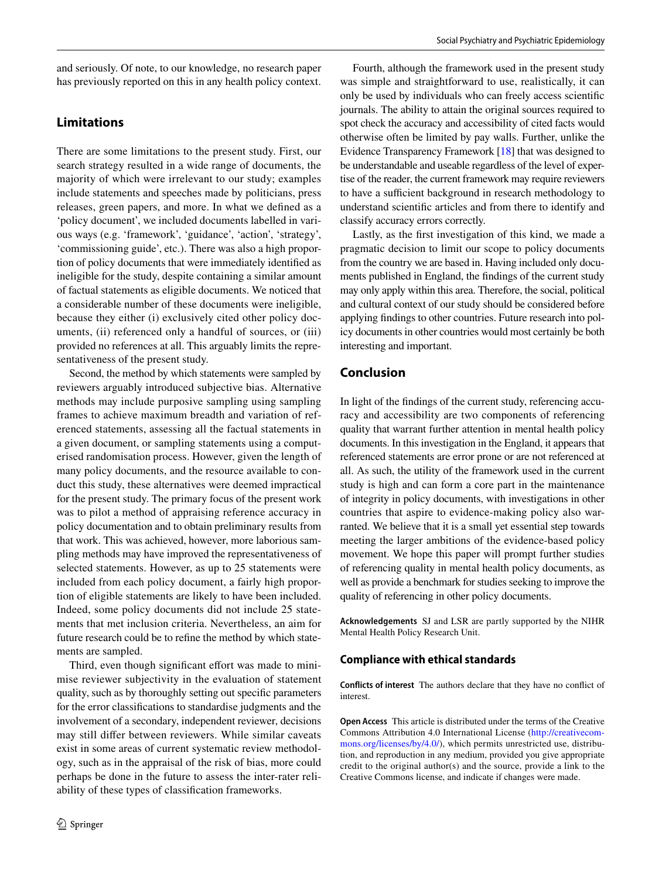and seriously. Of note, to our knowledge, no research paper has previously reported on this in any health policy context.

# **Limitations**

There are some limitations to the present study. First, our search strategy resulted in a wide range of documents, the majority of which were irrelevant to our study; examples include statements and speeches made by politicians, press releases, green papers, and more. In what we defned as a 'policy document', we included documents labelled in various ways (e.g. 'framework', 'guidance', 'action', 'strategy', 'commissioning guide', etc.). There was also a high proportion of policy documents that were immediately identifed as ineligible for the study, despite containing a similar amount of factual statements as eligible documents. We noticed that a considerable number of these documents were ineligible, because they either (i) exclusively cited other policy documents, (ii) referenced only a handful of sources, or (iii) provided no references at all. This arguably limits the representativeness of the present study.

Second, the method by which statements were sampled by reviewers arguably introduced subjective bias. Alternative methods may include purposive sampling using sampling frames to achieve maximum breadth and variation of referenced statements, assessing all the factual statements in a given document, or sampling statements using a computerised randomisation process. However, given the length of many policy documents, and the resource available to conduct this study, these alternatives were deemed impractical for the present study. The primary focus of the present work was to pilot a method of appraising reference accuracy in policy documentation and to obtain preliminary results from that work. This was achieved, however, more laborious sampling methods may have improved the representativeness of selected statements. However, as up to 25 statements were included from each policy document, a fairly high proportion of eligible statements are likely to have been included. Indeed, some policy documents did not include 25 statements that met inclusion criteria. Nevertheless, an aim for future research could be to refne the method by which statements are sampled.

Third, even though significant effort was made to minimise reviewer subjectivity in the evaluation of statement quality, such as by thoroughly setting out specifc parameters for the error classifcations to standardise judgments and the involvement of a secondary, independent reviewer, decisions may still difer between reviewers. While similar caveats exist in some areas of current systematic review methodology, such as in the appraisal of the risk of bias, more could perhaps be done in the future to assess the inter-rater reliability of these types of classifcation frameworks.

Fourth, although the framework used in the present study was simple and straightforward to use, realistically, it can only be used by individuals who can freely access scientifc journals. The ability to attain the original sources required to spot check the accuracy and accessibility of cited facts would otherwise often be limited by pay walls. Further, unlike the Evidence Transparency Framework [\[18](#page-10-19)] that was designed to be understandable and useable regardless of the level of expertise of the reader, the current framework may require reviewers to have a sufficient background in research methodology to understand scientifc articles and from there to identify and classify accuracy errors correctly.

Lastly, as the frst investigation of this kind, we made a pragmatic decision to limit our scope to policy documents from the country we are based in. Having included only documents published in England, the fndings of the current study may only apply within this area. Therefore, the social, political and cultural context of our study should be considered before applying fndings to other countries. Future research into policy documents in other countries would most certainly be both interesting and important.

# **Conclusion**

In light of the fndings of the current study, referencing accuracy and accessibility are two components of referencing quality that warrant further attention in mental health policy documents. In this investigation in the England, it appears that referenced statements are error prone or are not referenced at all. As such, the utility of the framework used in the current study is high and can form a core part in the maintenance of integrity in policy documents, with investigations in other countries that aspire to evidence-making policy also warranted. We believe that it is a small yet essential step towards meeting the larger ambitions of the evidence-based policy movement. We hope this paper will prompt further studies of referencing quality in mental health policy documents, as well as provide a benchmark for studies seeking to improve the quality of referencing in other policy documents.

**Acknowledgements** SJ and LSR are partly supported by the NIHR Mental Health Policy Research Unit.

## **Compliance with ethical standards**

**Conflicts of interest** The authors declare that they have no confict of interest.

**Open Access** This article is distributed under the terms of the Creative Commons Attribution 4.0 International License [\(http://creativecom](http://creativecommons.org/licenses/by/4.0/)[mons.org/licenses/by/4.0/](http://creativecommons.org/licenses/by/4.0/)), which permits unrestricted use, distribution, and reproduction in any medium, provided you give appropriate credit to the original author(s) and the source, provide a link to the Creative Commons license, and indicate if changes were made.